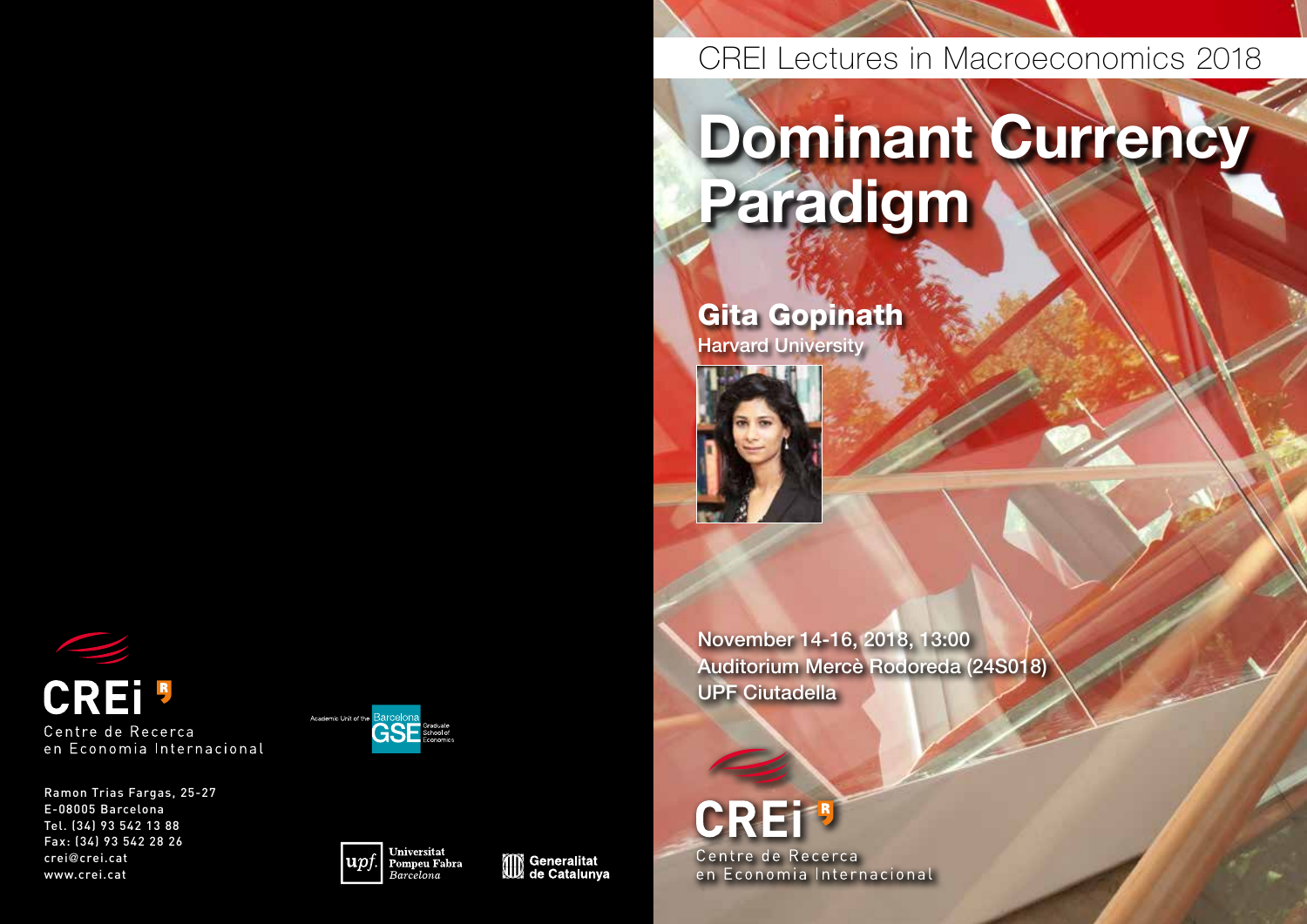# **CREI**<sup>8</sup> Centre de Recerca en Economia Internacional

Ramon Trias Fargas, 25-27 E-08005 Barcelona Tel. (34) 93 542 13 88 Fax: (34) 93 542 28 26 crei@crei.cat www.crei.cat







CREI Lectures in Macroeconomics 2018

# Dominant Currency Paradigm

Gita Gopinath **Harvard University** 

November 14-16, 2018, 13:00 Auditorium Mercè Rodoreda (24S018) UPF Ciutadella

## CRET Centre de Recerca

en Economia Internacional